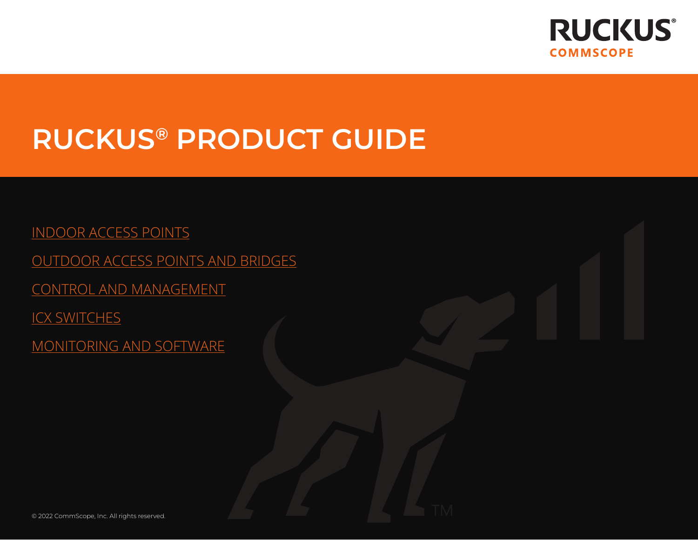<span id="page-0-1"></span>

**TM** 

# <span id="page-0-0"></span>RUCKUS® PRODUCT GUIDE

[INDOOR ACCESS POINTS](#page-1-0) [OUTDOOR ACCESS POINTS AND BRIDGES](#page-3-0) [CONTROL AND MANAGEMENT](#page-4-0) **[ICX SWITCHES](#page-6-0)** [MONITORING AND SOFTWARE](#page-8-0)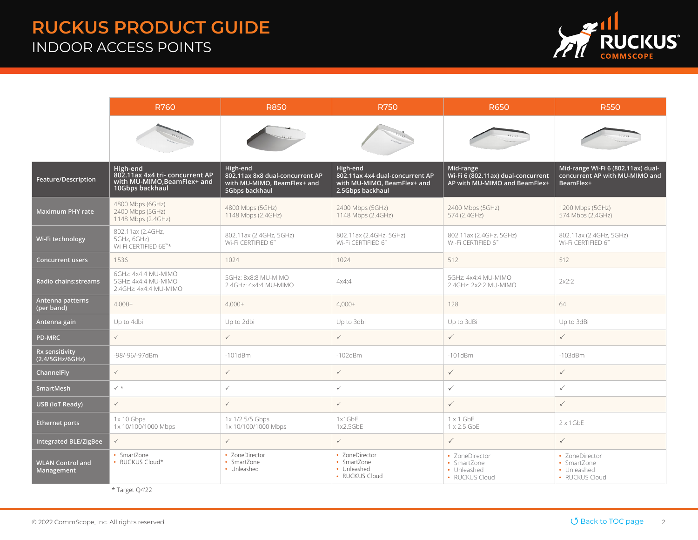#### <span id="page-1-0"></span>RUCKUS PRODUCT GUIDE INDOOR ACCESS POINTS



|                                       | <b>R760</b>                                                                                   | <b>R850</b>                                                                                  | <b>R750</b>                                                                                    | <b>R650</b>                                                                      | <b>R550</b>                                                                       |  |
|---------------------------------------|-----------------------------------------------------------------------------------------------|----------------------------------------------------------------------------------------------|------------------------------------------------------------------------------------------------|----------------------------------------------------------------------------------|-----------------------------------------------------------------------------------|--|
|                                       |                                                                                               |                                                                                              |                                                                                                |                                                                                  |                                                                                   |  |
| Feature/Description                   | High-end<br>802.11ax 4x4 tri- concurrent AP<br>with MU-MIMO, BeamFlex+ and<br>10Gbps backhaul | High-end<br>802.11ax 8x8 dual-concurrent AP<br>with MU-MIMO, BeamFlex+ and<br>5Gbps backhaul | High-end<br>802.11ax 4x4 dual-concurrent AP<br>with MU-MIMO, BeamFlex+ and<br>2.5Gbps backhaul | Mid-range<br>Wi-Fi 6 (802.11ax) dual-concurrent<br>AP with MU-MIMO and BeamFlex+ | Mid-range Wi-Fi 6 (802.11ax) dual-<br>concurrent AP with MU-MIMO and<br>BeamFlex+ |  |
| Maximum PHY rate                      | 4800 Mbps (6GHz)<br>2400 Mbps (5GHz)<br>1148 Mbps (2.4GHz)                                    | 4800 Mbps (5GHz)<br>1148 Mbps (2.4GHz)                                                       | 2400 Mbps (5GHz)<br>1148 Mbps (2.4GHz)                                                         | 2400 Mbps (5GHz)<br>574 (2.4GHz)                                                 | 1200 Mbps (5GHz)<br>574 Mbps (2.4GHz)                                             |  |
| Wi-Fi technology                      | 802.11ax (2.4GHz,<br>5GHz, 6GHz)<br>Wi-Fi CERTIFIED 6E <sup>™*</sup>                          | 802.11ax (2.4GHz, 5GHz)<br>Wi-Fi CERTIFIED 6"                                                | 802.11ax (2.4GHz, 5GHz)<br>Wi-Fi CERTIFIED 6"                                                  | 802.11ax (2.4GHz, 5GHz)<br>Wi-Fi CERTIFIED 6™                                    | 802.11ax (2.4GHz, 5GHz)<br>Wi-Fi CERTIFIED 6™                                     |  |
| <b>Concurrent users</b>               | 1536                                                                                          | 1024                                                                                         | 1024                                                                                           | 512                                                                              | 512                                                                               |  |
| <b>Radio chains:streams</b>           | 6GHz: 4x4:4 MU-MIMO<br>5GHz: 4x4:4 MU-MIMO<br>2.4GHz: 4x4:4 MU-MIMO                           | 5GHz: 8x8:8 MU-MIMO<br>2.4GHz: 4x4:4 MU-MIMO                                                 | 4x4:4                                                                                          | 5GHz: 4x4:4 MU-MIMO<br>2.4GHz: 2x2:2 MU-MIMO                                     | 2x2:2                                                                             |  |
| Antenna patterns<br>(per band)        | $4,000+$                                                                                      | $4,000+$                                                                                     | $4,000+$                                                                                       | 128                                                                              | 64                                                                                |  |
| Antenna gain                          | Up to 4dbi                                                                                    | Up to 2dbi                                                                                   | Up to 3dbi                                                                                     | Up to 3dBi                                                                       | Up to 3dBi                                                                        |  |
| <b>PD-MRC</b>                         | $\checkmark$                                                                                  | $\checkmark$                                                                                 | $\checkmark$                                                                                   | $\checkmark$                                                                     | $\checkmark$                                                                      |  |
| Rx sensitivity<br>(2.4/5GHz/6GHz)     | -98/-96/-97dBm                                                                                | $-101$ d $Bm$                                                                                | $-102$ d $Bm$                                                                                  | $-101$ d $Bm$                                                                    | $-103$ d $Bm$                                                                     |  |
| ChannelFly                            | $\checkmark$                                                                                  | $\checkmark$                                                                                 | $\checkmark$                                                                                   | $\checkmark$                                                                     | $\checkmark$                                                                      |  |
| SmartMesh                             | $\checkmark$ *                                                                                | $\checkmark$                                                                                 | $\checkmark$                                                                                   | $\checkmark$                                                                     | $\checkmark$                                                                      |  |
| USB (IoT Ready)                       | $\checkmark$                                                                                  | $\checkmark$                                                                                 | $\checkmark$                                                                                   | $\checkmark$                                                                     | $\checkmark$                                                                      |  |
| <b>Ethernet ports</b>                 | $1x 10$ Gbps<br>1x 10/100/1000 Mbps                                                           | 1x 1/2.5/5 Gbps<br>1x 10/100/1000 Mbps                                                       | 1x1GbE<br>1x2.5GbE                                                                             | $1 \times 1$ GbE<br>1 x 2.5 GbE                                                  | $2 \times 1$ GbE                                                                  |  |
| <b>Integrated BLE/ZigBee</b>          | $\checkmark$                                                                                  | $\checkmark$                                                                                 | $\checkmark$                                                                                   | $\checkmark$                                                                     | $\checkmark$                                                                      |  |
| <b>WLAN Control and</b><br>Management | • SmartZone<br>• RUCKUS Cloud*                                                                | • ZoneDirector<br>• SmartZone<br>• Unleashed                                                 | • ZoneDirector<br>• SmartZone<br>• Unleashed<br>• RUCKUS Cloud                                 | • ZoneDirector<br>• SmartZone<br>• Unleashed<br>• RUCKUS Cloud                   | • ZoneDirector<br>• SmartZone<br>• Unleashed<br>• RUCKUS Cloud                    |  |

\* Target Q4'22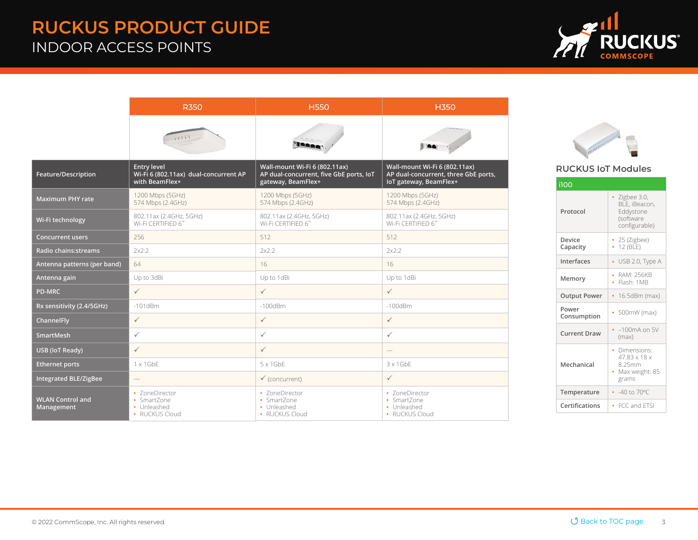#### RUCKUS PRODUCT GUIDE INDOOR ACCESS POINTS



|                                       | <b>R350</b>                                                                   | <b>H550</b>                                                                                    | <b>H350</b>                                                                                     |  |
|---------------------------------------|-------------------------------------------------------------------------------|------------------------------------------------------------------------------------------------|-------------------------------------------------------------------------------------------------|--|
|                                       | mill                                                                          | <b>Nasas</b>                                                                                   |                                                                                                 |  |
| Feature/Description                   | <b>Entry level</b><br>Wi-Fi 6 (802.11ax) dual-concurrent AP<br>with BeamFlex+ | Wall-mount Wi-Fi 6 (802.11ax)<br>AP dual-concurrent, five GbE ports, IoT<br>gateway, BeamFlex+ | Wall-mount Wi-Fi 6 (802.11ax)<br>AP dual-concurrent, three GbE ports,<br>loT gateway, BeamFlex+ |  |
| <b>Maximum PHY rate</b>               | 1200 Mbps (5GHz)<br>574 Mbps (2.4GHz)                                         | 1200 Mbps (5GHz)<br>574 Mbps (2.4GHz)                                                          | 1200 Mbps (5GHz)<br>574 Mbps (2.4GHz)                                                           |  |
| Wi-Fi technology                      | 802.11ax (2.4GHz, 5GHz)<br>Wi-Fi CERTIFIED 6™                                 | 802.11ax (2.4GHz, 5GHz)<br>Wi-Fi CERTIFIED 6"                                                  | 802.11ax (2.4GHz, 5GHz)<br>Wi-Fi CERTIFIED 6"                                                   |  |
| <b>Concurrent users</b>               | 256                                                                           | 512                                                                                            | 512                                                                                             |  |
| Radio chains: streams                 | 2x2:2                                                                         | 2x2:2                                                                                          | 2x2:2                                                                                           |  |
| Antenna patterns (per band)           | 64                                                                            | 16                                                                                             | 16                                                                                              |  |
| Antenna gain                          | Up to 3dBi                                                                    | Up to 1dBi                                                                                     | Up to 1dBi                                                                                      |  |
| <b>PD-MRC</b>                         | $\checkmark$                                                                  | $\checkmark$                                                                                   | $\checkmark$                                                                                    |  |
| Rx sensitivity (2.4/5GHz)             | $-101$ d $Bm$                                                                 | $-100$ d $Bm$                                                                                  | $-100$ d $Bm$                                                                                   |  |
| <b>ChannelFly</b>                     | $\checkmark$                                                                  | $\checkmark$                                                                                   | $\checkmark$                                                                                    |  |
| <b>SmartMesh</b>                      | $\checkmark$                                                                  | $\checkmark$                                                                                   | $\checkmark$                                                                                    |  |
| USB (IoT Ready)                       | $\checkmark$                                                                  | $\checkmark$                                                                                   | $\hspace{1.0cm} \rule{1.5cm}{0.15cm}$                                                           |  |
| <b>Ethernet ports</b>                 | $1 \times 1$ GbE                                                              | $5 \times 1$ GbE                                                                               | $3 \times 1$ GbE                                                                                |  |
| <b>Integrated BLE/ZigBee</b>          | $\overline{\phantom{0}}$                                                      | $\checkmark$ (concurrent)                                                                      | $\checkmark$                                                                                    |  |
| <b>WLAN Control and</b><br>Management | • ZoneDirector<br>• SmartZone<br>• Unleashed<br>• RUCKUS Cloud                | • ZoneDirector<br>• SmartZone<br>• Unleashed<br>• RUCKUS Cloud                                 | • ZoneDirector<br>• SmartZone<br>• Unleashed<br>• RUCKUS Cloud                                  |  |

#### RUCKUS IoT Modules

| i100                 |                                                                                 |
|----------------------|---------------------------------------------------------------------------------|
| Protocol             | $\cdot$ Zigbee 3.0,<br>BLE, iBeacon,<br>Eddystone<br>(software<br>configurable) |
| Device<br>Capacity   | $\cdot$ 25 (Zigbee)<br>• 12 (BLE)                                               |
| Interfaces           | $\bullet$ USB 2.0, Type A                                                       |
| Memory               | • RAM: 256KB<br>· Flash: 1MB                                                    |
| <b>Output Power</b>  | $16.5$ d $Bm$ (max)<br>$\bullet$                                                |
| Power<br>Consumption | $\cdot$ 500mW (max)                                                             |
| <b>Current Draw</b>  | $-100$ m $A$ on 5V<br>(max)                                                     |
| Mechanical           | • Dimensions:<br>47.83 x 18 x<br>8.25mm<br>• Max weight: 85<br>grams            |
| Temperature          | $-40$ to $70^{\circ}$ C                                                         |
| Certifications       | • FCC and FTSI                                                                  |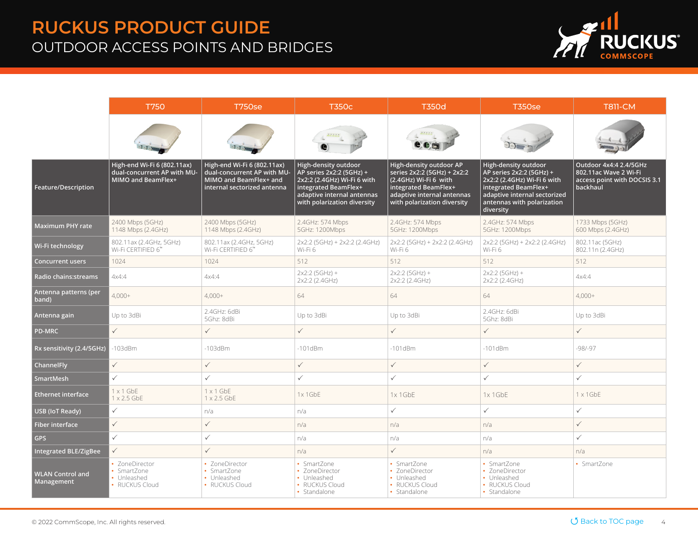## <span id="page-3-0"></span>RUCKUS PRODUCT GUIDE OUTDOOR ACCESS POINTS AND BRIDGES



|                                       | <b>T750</b><br><b>T750se</b>                                                     |                                                                                                                     | <b>T350c</b>                                                                                                                                                         | <b>T350d</b>                                                                                                                                                         | <b>T350se</b>                                                                                                                                                                      | <b>T811-CM</b>                                                                              |
|---------------------------------------|----------------------------------------------------------------------------------|---------------------------------------------------------------------------------------------------------------------|----------------------------------------------------------------------------------------------------------------------------------------------------------------------|----------------------------------------------------------------------------------------------------------------------------------------------------------------------|------------------------------------------------------------------------------------------------------------------------------------------------------------------------------------|---------------------------------------------------------------------------------------------|
|                                       |                                                                                  |                                                                                                                     | $\frac{1}{2}$ and $\frac{1}{2}$                                                                                                                                      | e a s                                                                                                                                                                |                                                                                                                                                                                    |                                                                                             |
| Feature/Description                   | High-end Wi-Fi 6 (802.11ax)<br>dual-concurrent AP with MU-<br>MIMO and BeamFlex+ | High-end Wi-Fi 6 (802.11ax)<br>dual-concurrent AP with MU-<br>MIMO and BeamFlex+ and<br>internal sectorized antenna | High-density outdoor<br>AP series 2x2:2 (5GHz) +<br>2x2:2 (2.4GHz) Wi-Fi 6 with<br>integrated BeamFlex+<br>adaptive internal antennas<br>with polarization diversity | High-density outdoor AP<br>series 2x2:2 (5GHz) + 2x2:2<br>(2.4GHz) Wi-Fi 6 with<br>integrated BeamFlex+<br>adaptive internal antennas<br>with polarization diversity | High-density outdoor<br>AP series 2x2:2 (5GHz) +<br>2x2:2 (2.4GHz) Wi-Fi 6 with<br>integrated BeamFlex+<br>adaptive internal sectorized<br>antennas with polarization<br>diversity | Outdoor 4x4:4 2.4/5GHz<br>802.11ac Wave 2 Wi-Fi<br>access point with DOCSIS 3.1<br>backhaul |
| <b>Maximum PHY rate</b>               | 2400 Mbps (5GHz)<br>1148 Mbps (2.4GHz)                                           | 2400 Mbps (5GHz)<br>1148 Mbps (2.4GHz)                                                                              | 2.4GHz: 574 Mbps<br>5GHz: 1200Mbps                                                                                                                                   | 2.4GHz: 574 Mbps<br>5GHz: 1200Mbps                                                                                                                                   | 2.4GHz: 574 Mbps<br>5GHz: 1200Mbps                                                                                                                                                 | 1733 Mbps (5GHz)<br>600 Mbps (2.4GHz)                                                       |
| Wi-Fi technology                      | 802.11ax (2.4GHz, 5GHz)<br>Wi-Fi CERTIFIED 6™                                    | 802.11ax (2.4GHz, 5GHz)<br>Wi-Fi CERTIFIED 6"                                                                       | 2x2:2 (5GHz) + 2x2:2 (2.4GHz)<br>Wi-Fi 6                                                                                                                             | 2x2:2 (5GHz) + 2x2:2 (2.4GHz)<br>Wi-Fi 6                                                                                                                             | 2x2:2 (5GHz) + 2x2:2 (2.4GHz)<br>Wi-Fi 6                                                                                                                                           | 802.11ac (5GHz)<br>802.11n (2.4GHz)                                                         |
| <b>Concurrent users</b>               | 1024                                                                             | 1024                                                                                                                | 512                                                                                                                                                                  | 512                                                                                                                                                                  | 512                                                                                                                                                                                | 512                                                                                         |
| <b>Radio chains:streams</b>           | 4x4:4                                                                            | 4x4:4                                                                                                               | $2x2:2(5GHz) +$<br>2x2:2 (2.4GHz)                                                                                                                                    | $2x2:2(5GHz) +$<br>2x2:2 (2.4GHz)                                                                                                                                    | $2x2:2(5GHz) +$<br>2x2:2 (2.4GHz)                                                                                                                                                  | 4x4:4                                                                                       |
| Antenna patterns (per<br>band)        | $4,000+$                                                                         | $4,000+$                                                                                                            | 64                                                                                                                                                                   | 64                                                                                                                                                                   | 64                                                                                                                                                                                 | $4,000+$                                                                                    |
| Antenna gain                          | Up to 3dBi                                                                       | 2.4GHz: 6dBi<br>5Ghz: 8dBi                                                                                          | Up to 3dBi                                                                                                                                                           | Up to 3dBi                                                                                                                                                           | 2.4GHz: 6dBi<br>5Ghz: 8dBi                                                                                                                                                         | Up to 3dBi                                                                                  |
| <b>PD-MRC</b>                         | $\checkmark$                                                                     | $\checkmark$                                                                                                        | $\checkmark$                                                                                                                                                         | $\checkmark$                                                                                                                                                         | $\checkmark$                                                                                                                                                                       | $\checkmark$                                                                                |
| Rx sensitivity (2.4/5GHz)             | $-103dBm$                                                                        | $-103dBm$                                                                                                           | $-101dBm$                                                                                                                                                            | $-101dBm$                                                                                                                                                            | $-101dBm$                                                                                                                                                                          | $-98/-97$                                                                                   |
| ChannelFly                            | $\checkmark$                                                                     | $\checkmark$                                                                                                        | $\checkmark$                                                                                                                                                         | $\checkmark$                                                                                                                                                         | $\checkmark$                                                                                                                                                                       | $\checkmark$                                                                                |
| SmartMesh                             | $\checkmark$                                                                     | $\checkmark$                                                                                                        | $\checkmark$                                                                                                                                                         | $\checkmark$                                                                                                                                                         | $\checkmark$                                                                                                                                                                       | $\checkmark$                                                                                |
| <b>Ethernet interface</b>             | $1 \times 1$ GbE<br>$1 \times 2.5$ GbE                                           | $1 \times 1$ GbE<br>$1 \times 2.5$ GbE                                                                              | $1x$ 1 GbE                                                                                                                                                           | 1x 1GbE                                                                                                                                                              | 1x1GbE                                                                                                                                                                             | $1 \times 1$ GbE                                                                            |
| USB (IoT Ready)                       | $\checkmark$                                                                     | n/a                                                                                                                 | n/a                                                                                                                                                                  | $\checkmark$                                                                                                                                                         | $\checkmark$                                                                                                                                                                       | $\checkmark$                                                                                |
| <b>Fiber interface</b>                | $\checkmark$                                                                     | $\checkmark$                                                                                                        | n/a                                                                                                                                                                  | n/a                                                                                                                                                                  | n/a                                                                                                                                                                                | $\checkmark$                                                                                |
| <b>GPS</b>                            | $\checkmark$                                                                     | $\checkmark$                                                                                                        | n/a                                                                                                                                                                  | n/a                                                                                                                                                                  | n/a                                                                                                                                                                                | $\checkmark$                                                                                |
| <b>Integrated BLE/ZigBee</b>          | $\checkmark$                                                                     |                                                                                                                     | n/a                                                                                                                                                                  | $\checkmark$                                                                                                                                                         | n/a                                                                                                                                                                                | n/a                                                                                         |
| <b>WLAN Control and</b><br>Management | · ZoneDirector<br>• SmartZone<br>• Unleashed<br>• RUCKUS Cloud                   | • ZoneDirector<br>• SmartZone<br>• Unleashed<br>• RUCKUS Cloud                                                      | • SmartZone<br>• ZoneDirector<br>• Unleashed<br>• RUCKUS Cloud<br>• Standalone                                                                                       | • SmartZone<br>• ZoneDirector<br>• Unleashed<br>• RUCKUS Cloud<br>• Standalone                                                                                       | • SmartZone<br>• ZoneDirector<br>• Unleashed<br>• RUCKUS Cloud<br>• Standalone                                                                                                     | • SmartZone                                                                                 |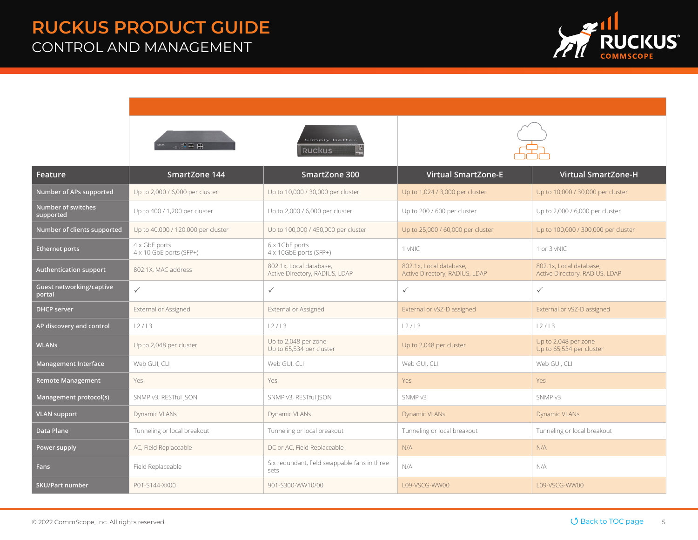#### <span id="page-4-0"></span>RUCKUS PRODUCT GUIDE CONTROL AND MANAGEMENT



|                                    |                                                 | Simply Better<br><b>RUCKUS</b>                            |                                                           |                                                           |
|------------------------------------|-------------------------------------------------|-----------------------------------------------------------|-----------------------------------------------------------|-----------------------------------------------------------|
| Feature                            | SmartZone 144                                   | SmartZone 300                                             | <b>Virtual SmartZone-E</b>                                | <b>Virtual SmartZone-H</b>                                |
| Number of APs supported            | Up to 2,000 / 6,000 per cluster                 | Up to 10,000 / 30,000 per cluster                         | Up to 1,024 / 3,000 per cluster                           | Up to 10,000 / 30,000 per cluster                         |
| Number of switches<br>supported    | Up to 400 / 1,200 per cluster                   | Up to 2,000 / 6,000 per cluster                           | Up to 200 / 600 per cluster                               | Up to 2,000 / 6,000 per cluster                           |
| Number of clients supported        | Up to 40,000 / 120,000 per cluster              | Up to 100,000 / 450,000 per cluster                       | Up to 25,000 / 60,000 per cluster                         | Up to 100,000 / 300,000 per cluster                       |
| <b>Ethernet ports</b>              | 4 x GbE ports<br>$4 \times 10$ GbE ports (SFP+) | 6 x 1GbE ports<br>4 x 10GbE ports (SFP+)                  | 1 vNIC                                                    | 1 or 3 vNIC                                               |
| <b>Authentication support</b>      | 802.1X, MAC address                             | 802.1x. Local database.<br>Active Directory, RADIUS, LDAP | 802.1x. Local database.<br>Active Directory, RADIUS, LDAP | 802.1x. Local database.<br>Active Directory, RADIUS, LDAP |
| Guest networking/captive<br>portal | $\checkmark$                                    | $\checkmark$                                              | $\checkmark$                                              | $\checkmark$                                              |
| <b>DHCP server</b>                 | External or Assigned                            | External or Assigned                                      | External or vSZ-D assigned                                | External or vSZ-D assigned                                |
| AP discovery and control           | L2/L3                                           | L2/L3                                                     | L2/L3                                                     | L2/L3                                                     |
| <b>WLANS</b>                       | Up to 2,048 per cluster                         | Up to 2,048 per zone<br>Up to 65,534 per cluster          | Up to 2,048 per cluster                                   | Up to 2,048 per zone<br>Up to 65,534 per cluster          |
| <b>Management Interface</b>        | Web GUI, CLI                                    | Web GUI, CLI                                              | Web GUI, CLI                                              | Web GUI, CLI                                              |
| <b>Remote Management</b>           | Yes                                             | Yes                                                       | <b>Yes</b>                                                | <b>Yes</b>                                                |
| Management protocol(s)             | SNMP v3, RESTful JSON                           | SNMP v3, RESTful JSON                                     | SNMP v3                                                   | SNMP v3                                                   |
| <b>VLAN support</b>                | Dynamic VLANs                                   | Dynamic VLANs                                             | Dynamic VLANs                                             | Dynamic VLANs                                             |
| <b>Data Plane</b>                  | Tunneling or local breakout                     | Tunneling or local breakout                               | Tunneling or local breakout                               | Tunneling or local breakout                               |
| Power supply                       | AC, Field Replaceable                           | DC or AC, Field Replaceable                               | N/A                                                       | N/A                                                       |
| <b>Fans</b>                        | Field Replaceable                               | Six redundant, field swappable fans in three<br>sets      | N/A                                                       | N/A                                                       |
| <b>SKU/Part number</b>             | P01-S144-XX00                                   | 901-S300-WW10/00                                          | L09-VSCG-WW00                                             | L09-VSCG-WW00                                             |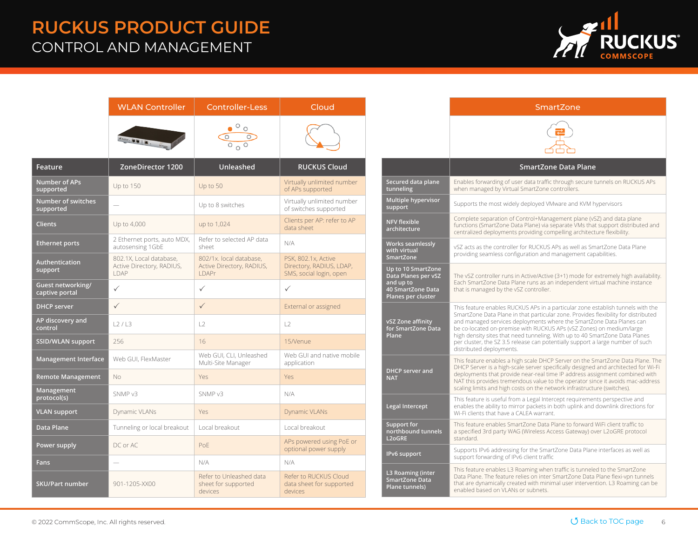#### RUCKUS PRODUCT GUIDE CONTROL AND MANAGEMENT



|                                        | <b>WLAN Controller</b>                                              | <b>Controller-Less</b>                                         | Cloud                                                                      |
|----------------------------------------|---------------------------------------------------------------------|----------------------------------------------------------------|----------------------------------------------------------------------------|
|                                        |                                                                     |                                                                |                                                                            |
| Feature                                | ZoneDirector 1200                                                   | Unleashed                                                      | <b>RUCKUS Cloud</b>                                                        |
| <b>Number of APs</b><br>supported      | Up to 150                                                           | Up to 50                                                       | Virtually unlimited number<br>of APs supported                             |
| <b>Number of switches</b><br>supported |                                                                     | Up to 8 switches                                               | Virtually unlimited number<br>of switches supported                        |
| <b>Clients</b>                         | Up to 4,000                                                         | up to 1,024                                                    | Clients per AP: refer to AP<br>data sheet                                  |
| <b>Ethernet ports</b>                  | 2 Ethernet ports, auto MDX,<br>autosensing 1GbE                     | Refer to selected AP data<br>sheet                             | N/A                                                                        |
| Authentication<br>support              | 802.1X, Local database,<br>Active Directory, RADIUS,<br><b>IDAP</b> | 802/1x. local database,<br>Active Directory, RADIUS,<br>I DAPr | PSK, 802.1x, Active<br>Directory, RADIUS, LDAP,<br>SMS, social login, open |
| Guest networking/<br>captive portal    | $\checkmark$                                                        | $\checkmark$                                                   | ✓                                                                          |
| <b>DHCP</b> server                     | $\checkmark$                                                        | $\checkmark$                                                   | External or assigned                                                       |
| AP discovery and<br>control            | L2/L3                                                               | L2                                                             | L2                                                                         |
| SSID/WLAN support                      | 256                                                                 | 16                                                             | 15/Venue                                                                   |
| <b>Management Interface</b>            | Web GUI, FlexMaster                                                 | Web GUI, CLI, Unleashed<br>Multi-Site Manager                  | Web GUI and native mobile<br>application                                   |
| <b>Remote Management</b>               | No                                                                  | Yes                                                            | Yes                                                                        |
| Management<br>protocol(s)              | SNMP v3                                                             | SNMP <sub>v3</sub>                                             | N/A                                                                        |
| <b>VLAN support</b>                    | Dynamic VLANs                                                       | Yes                                                            | <b>Dynamic VLANs</b>                                                       |
| Data Plane                             | Tunneling or local breakout                                         | Local breakout                                                 | Local breakout                                                             |
| Power supply                           | DC or AC                                                            | PoE                                                            | APs powered using PoE or<br>optional power supply                          |
| Fans                                   |                                                                     | N/A                                                            | N/A                                                                        |
| <b>SKU/Part number</b>                 | 901-1205-XX00                                                       | Refer to Unleashed data<br>sheet for supported<br>devices      | Refer to RUCKUS Cloud<br>data sheet for supported<br>devices               |

|                                                                                                   | SmartZone                                                                                                                                                                                                                                                                                                                                                                                                                                                                                                          |
|---------------------------------------------------------------------------------------------------|--------------------------------------------------------------------------------------------------------------------------------------------------------------------------------------------------------------------------------------------------------------------------------------------------------------------------------------------------------------------------------------------------------------------------------------------------------------------------------------------------------------------|
|                                                                                                   |                                                                                                                                                                                                                                                                                                                                                                                                                                                                                                                    |
|                                                                                                   | SmartZone Data Plane                                                                                                                                                                                                                                                                                                                                                                                                                                                                                               |
| Secured data plane<br>tunneling                                                                   | Enables forwarding of user data traffic through secure tunnels on RUCKUS APs<br>when managed by Virtual SmartZone controllers.                                                                                                                                                                                                                                                                                                                                                                                     |
| Multiple hypervisor<br>support                                                                    | Supports the most widely deployed VMware and KVM hypervisors                                                                                                                                                                                                                                                                                                                                                                                                                                                       |
| <b>NFV flexible</b><br>architecture                                                               | Complete separation of Control+Management plane (vSZ) and data plane<br>functions (SmartZone Data Plane) via separate VMs that support distributed and<br>centralized deployments providing compelling architecture flexibility.                                                                                                                                                                                                                                                                                   |
| Works seamlessly<br>with virtual<br><b>SmartZone</b>                                              | vSZ acts as the controller for RUCKUS APs as well as SmartZone Data Plane<br>providing seamless configuration and management capabilities.                                                                                                                                                                                                                                                                                                                                                                         |
| Up to 10 SmartZone<br>Data Planes per vSZ<br>and up to<br>40 SmartZone Data<br>Planes per cluster | The vSZ controller runs in Active/Active (3+1) mode for extremely high availability.<br>Each SmartZone Data Plane runs as an independent virtual machine instance<br>that is managed by the vSZ controller.                                                                                                                                                                                                                                                                                                        |
| vSZ Zone affinity<br>for SmartZone Data<br>Plane                                                  | This feature enables RUCKUS APs in a particular zone establish tunnels with the<br>SmartZone Data Plane in that particular zone. Provides flexibility for distributed<br>and managed services deployments where the SmartZone Data Planes can<br>be co-located on-premise with RUCKUS APs (vSZ Zones) on medium/large<br>high density sites that need tunneling. With up to 40 SmartZone Data Planes<br>per cluster, the SZ 3.5 release can potentially support a large number of such<br>distributed deployments. |
| <b>DHCP server and</b><br><b>NAT</b>                                                              | This feature enables a high scale DHCP Server on the SmartZone Data Plane. The<br>DHCP Server is a high-scale server specifically designed and architected for Wi-Fi<br>deployments that provide near-real time IP address assignment combined with<br>NAT this provides tremendous value to the operator since it avoids mac-address<br>scaling limits and high costs on the network infrastructure (switches).                                                                                                   |
| Legal Intercept                                                                                   | This feature is useful from a Legal Intercept requirements perspective and<br>enables the ability to mirror packets in both uplink and downlink directions for<br>Wi-Fi clients that have a CAI FA warrant.                                                                                                                                                                                                                                                                                                        |
| <b>Support for</b><br>northbound tunnels<br><b>L2oGRE</b>                                         | This feature enables SmartZone Data Plane to forward WiFi client traffic to<br>a specified 3rd party WAG (Wireless Access Gateway) over L2oGRE protocol<br>standard.                                                                                                                                                                                                                                                                                                                                               |
| IPv6 support                                                                                      | Supports IPv6 addressing for the SmartZone Data Plane interfaces as well as<br>support forwarding of IPv6 client traffic                                                                                                                                                                                                                                                                                                                                                                                           |
| L3 Roaming (inter<br><b>SmartZone Data</b><br>Plane tunnels)                                      | This feature enables L3 Roaming when traffic is tunneled to the SmartZone<br>Data Plane. The feature relies on inter SmartZone Data Plane flexi-vpn tunnels<br>that are dynamically created with minimal user intervention. L3 Roaming can be<br>enabled based on VLANs or subnets.                                                                                                                                                                                                                                |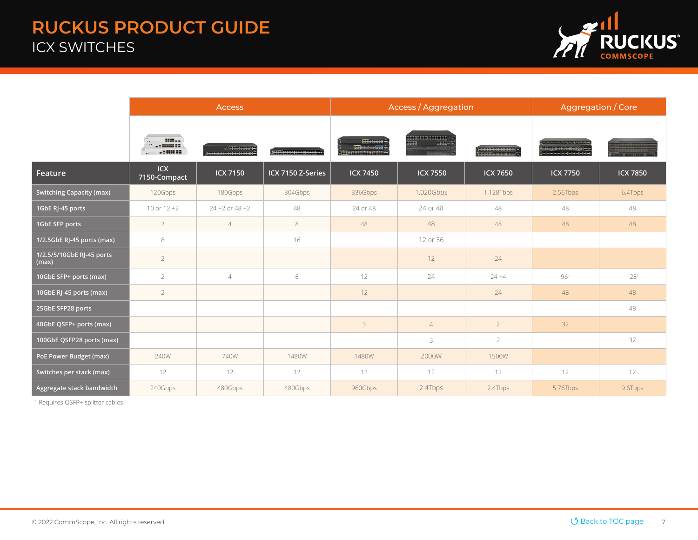## <span id="page-6-0"></span>RUCKUS PRODUCT GUIDE ICX SWITCHES



|                                    | <b>Access</b>              |                      |                          |                                           | <b>Access / Aggregation</b> |                 |                                   | Aggregation / Core |  |
|------------------------------------|----------------------------|----------------------|--------------------------|-------------------------------------------|-----------------------------|-----------------|-----------------------------------|--------------------|--|
|                                    | 0000 - -<br>$-2333122$     |                      | i <del>minnannanna</del> | <b>BIBBERGHAMM</b><br>anno personalizzato | HH<br>HHHH-F                |                 | <b>BERGEHERED</b><br>************ |                    |  |
| Feature                            | <b>ICX</b><br>7150-Compact | <b>ICX 7150</b>      | ICX 7150 Z-Series        | <b>ICX 7450</b>                           | <b>ICX 7550</b>             | <b>ICX 7650</b> | <b>ICX 7750</b>                   | <b>ICX 7850</b>    |  |
| <b>Switching Capacity (max)</b>    | 120Gbps                    | 180Gbps              | 304Gbps                  | 336Gbps                                   | 1,020Gbps                   | 1.128Tbps       | 2.56Tbps                          | 6.4Tbps            |  |
| 1GbE RJ-45 ports                   | 10 or $12+2$               | $24 + 2$ or $48 + 2$ | 48                       | 24 or 48                                  | 24 or 48                    | 48              | 48                                | 48                 |  |
| 1GbE SFP ports                     | $\overline{2}$             | $\overline{4}$       | 8                        | 48                                        | 48                          | 48              | 48                                | 48                 |  |
| 1/2.5GbE RJ-45 ports (max)         | 8                          |                      | 16                       |                                           | 12 or 36                    |                 |                                   |                    |  |
| 1/2.5/5/10GbE RJ-45 ports<br>(max) | $\overline{2}$             |                      |                          |                                           | 12                          | 24              |                                   |                    |  |
| 10GbE SFP+ ports (max)             | $\overline{2}$             | $\overline{4}$       | 8                        | 12                                        | 24                          | $24 + 4$        | 961                               | 1281               |  |
| 10GbE RJ-45 ports (max)            | $\overline{2}$             |                      |                          | 12                                        |                             | 24              | 48                                | 48                 |  |
| 25GbE SFP28 ports                  |                            |                      |                          |                                           |                             |                 |                                   | 48                 |  |
| 40GbE QSFP+ ports (max)            |                            |                      |                          | $\overline{3}$                            | $\overline{4}$              | $\overline{2}$  | 32                                |                    |  |
| 100GbE QSFP28 ports (max)          |                            |                      |                          |                                           | 3                           | $\overline{2}$  |                                   | 32                 |  |
| PoE Power Budget (max)             | 240W                       | 740W                 | 1480W                    | 1480W                                     | 2000W                       | 1500W           |                                   |                    |  |
| Switches per stack (max)           | 12                         | 12                   | 12                       | 12                                        | 12                          | 12              | 12                                | 12                 |  |
| Aggregate stack bandwidth          | 240Gbps                    | 480Gbps              | 480Gbps                  | 960Gbps                                   | 2.4Tbps                     | 2.4Tbps         | 5.76Tbps                          | 9.6Tbps            |  |

1 Requires QSFP+ splitter cables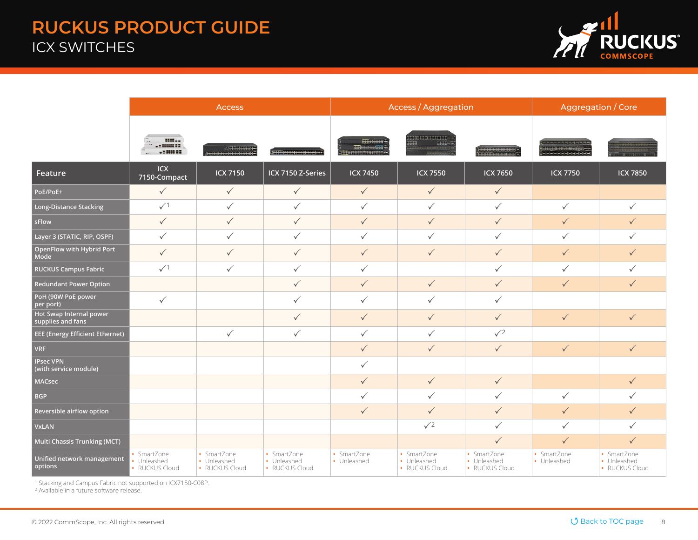## RUCKUS PRODUCT GUIDE ICX SWITCHES



|                                              | <b>Access</b>                                |                                              |                                              | <b>Access / Aggregation</b>                              |                                              |                                              | Aggregation / Core         |                                              |
|----------------------------------------------|----------------------------------------------|----------------------------------------------|----------------------------------------------|----------------------------------------------------------|----------------------------------------------|----------------------------------------------|----------------------------|----------------------------------------------|
|                                              | <b>BOOK </b><br>E Bennet E                   | e <del>chthuidh</del> e.<br>Harrichthuidhe   | iamannumun m                                 | HHHEEHH<br><b>1999 Hill Ellington</b><br><b>TOTAL CO</b> | <del>MUHRHHMMH</del><br>HHHH-<br>HH.         |                                              | ,,,,,,,,<br>. 22233388     |                                              |
| Feature                                      | ICX<br>7150-Compact                          | <b>ICX 7150</b>                              | ICX 7150 Z-Series                            | <b>ICX 7450</b>                                          | <b>ICX 7550</b>                              | <b>ICX 7650</b>                              | <b>ICX 7750</b>            | <b>ICX 7850</b>                              |
| PoE/PoE+                                     | $\checkmark$                                 | $\checkmark$                                 | $\checkmark$                                 | $\checkmark$                                             | $\checkmark$                                 | $\checkmark$                                 |                            |                                              |
| <b>Long-Distance Stacking</b>                | $\sqrt{1}$                                   | $\checkmark$                                 | $\checkmark$                                 | $\checkmark$                                             | $\checkmark$                                 | $\checkmark$                                 | $\checkmark$               | ✓                                            |
| sFlow                                        | $\checkmark$                                 | $\checkmark$                                 | $\checkmark$                                 | $\checkmark$                                             | $\checkmark$                                 | $\checkmark$                                 | $\checkmark$               | $\checkmark$                                 |
| Layer 3 (STATIC, RIP, OSPF)                  | $\checkmark$                                 | $\checkmark$                                 | $\checkmark$                                 | $\checkmark$                                             | ✓                                            | $\checkmark$                                 | $\checkmark$               | ✓                                            |
| OpenFlow with Hybrid Port<br>Mode            | $\checkmark$                                 | $\checkmark$                                 | $\checkmark$                                 | $\checkmark$                                             | $\checkmark$                                 | $\checkmark$                                 | $\checkmark$               | $\checkmark$                                 |
| <b>RUCKUS Campus Fabric</b>                  | $\sqrt{1}$                                   | $\checkmark$                                 | $\checkmark$                                 | $\checkmark$                                             |                                              | $\checkmark$                                 | $\checkmark$               | ✓                                            |
| <b>Redundant Power Option</b>                |                                              |                                              | $\checkmark$                                 | $\checkmark$                                             | $\checkmark$                                 | $\checkmark$                                 | $\checkmark$               | $\checkmark$                                 |
| PoH (90W PoE power<br>per port)              | $\checkmark$                                 |                                              | $\checkmark$                                 | $\checkmark$                                             | $\checkmark$                                 | $\checkmark$                                 |                            |                                              |
| Hot Swap Internal power<br>supplies and fans |                                              |                                              | $\checkmark$                                 | $\checkmark$                                             | $\checkmark$                                 | $\checkmark$                                 | $\checkmark$               | $\checkmark$                                 |
| <b>EEE (Energy Efficient Ethernet)</b>       |                                              | $\checkmark$                                 | $\checkmark$                                 | $\checkmark$                                             | $\checkmark$                                 | $\sqrt{2}$                                   |                            |                                              |
| <b>VRF</b>                                   |                                              |                                              |                                              | $\checkmark$                                             | $\checkmark$                                 | $\checkmark$                                 | $\checkmark$               | $\checkmark$                                 |
| <b>IPsec VPN</b><br>(with service module)    |                                              |                                              |                                              | $\checkmark$                                             |                                              |                                              |                            |                                              |
| <b>MACsec</b>                                |                                              |                                              |                                              | $\checkmark$                                             | $\checkmark$                                 | $\checkmark$                                 |                            | $\checkmark$                                 |
| <b>BGP</b>                                   |                                              |                                              |                                              | $\checkmark$                                             | $\checkmark$                                 | $\checkmark$                                 | $\checkmark$               | ✓                                            |
| Reversible airflow option                    |                                              |                                              |                                              | $\checkmark$                                             | $\checkmark$                                 | $\checkmark$                                 | $\checkmark$               | $\checkmark$                                 |
| <b>VxLAN</b>                                 |                                              |                                              |                                              |                                                          | $\sqrt{2}$                                   | $\checkmark$                                 | $\checkmark$               | $\checkmark$                                 |
| Multi Chassis Trunking (MCT)                 |                                              |                                              |                                              |                                                          |                                              | $\checkmark$                                 | $\checkmark$               | $\checkmark$                                 |
| Unified network management<br>options        | • SmartZone<br>• Unleashed<br>• RUCKUS Cloud | • SmartZone<br>• Unleashed<br>• RUCKUS Cloud | • SmartZone<br>• Unleashed<br>• RUCKUS Cloud | • SmartZone<br>• Unleashed                               | • SmartZone<br>• Unleashed<br>• RUCKUS Cloud | • SmartZone<br>• Unleashed<br>• RUCKUS Cloud | • SmartZone<br>• Unleashed | • SmartZone<br>• Unleashed<br>• RUCKUS Cloud |

1 Stacking and Campus Fabric not supported on ICX7150-C08P. 2 Available in a future software release.